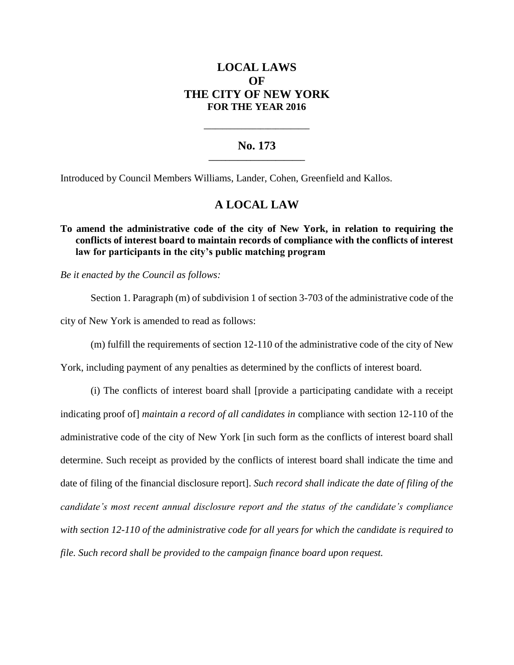# **LOCAL LAWS OF THE CITY OF NEW YORK FOR THE YEAR 2016**

## **No. 173 \_\_\_\_\_\_\_\_\_\_\_\_\_\_\_\_\_\_\_\_\_\_\_**

**\_\_\_\_\_\_\_\_\_\_\_\_\_\_\_\_\_\_\_\_\_\_\_\_\_\_\_\_**

Introduced by Council Members Williams, Lander, Cohen, Greenfield and Kallos.

# **A LOCAL LAW**

## **To amend the administrative code of the city of New York, in relation to requiring the conflicts of interest board to maintain records of compliance with the conflicts of interest law for participants in the city's public matching program**

*Be it enacted by the Council as follows:*

Section 1. Paragraph (m) of subdivision 1 of section 3-703 of the administrative code of the city of New York is amended to read as follows:

(m) fulfill the requirements of section 12-110 of the administrative code of the city of New

York, including payment of any penalties as determined by the conflicts of interest board.

(i) The conflicts of interest board shall [provide a participating candidate with a receipt indicating proof of] *maintain a record of all candidates in* compliance with section 12-110 of the administrative code of the city of New York [in such form as the conflicts of interest board shall determine. Such receipt as provided by the conflicts of interest board shall indicate the time and date of filing of the financial disclosure report]. *Such record shall indicate the date of filing of the candidate's most recent annual disclosure report and the status of the candidate's compliance with section 12-110 of the administrative code for all years for which the candidate is required to file. Such record shall be provided to the campaign finance board upon request.*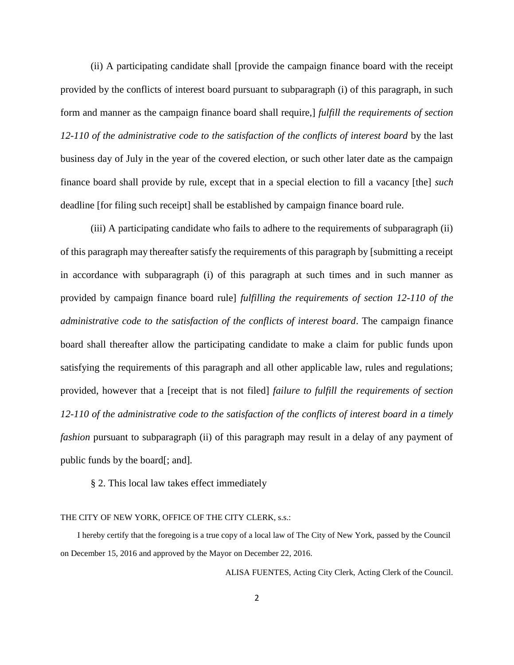(ii) A participating candidate shall [provide the campaign finance board with the receipt provided by the conflicts of interest board pursuant to subparagraph (i) of this paragraph, in such form and manner as the campaign finance board shall require,] *fulfill the requirements of section 12-110 of the administrative code to the satisfaction of the conflicts of interest board* by the last business day of July in the year of the covered election, or such other later date as the campaign finance board shall provide by rule, except that in a special election to fill a vacancy [the] *such*  deadline [for filing such receipt] shall be established by campaign finance board rule.

(iii) A participating candidate who fails to adhere to the requirements of subparagraph (ii) of this paragraph may thereafter satisfy the requirements of this paragraph by [submitting a receipt in accordance with subparagraph (i) of this paragraph at such times and in such manner as provided by campaign finance board rule] *fulfilling the requirements of section 12-110 of the administrative code to the satisfaction of the conflicts of interest board*. The campaign finance board shall thereafter allow the participating candidate to make a claim for public funds upon satisfying the requirements of this paragraph and all other applicable law, rules and regulations; provided, however that a [receipt that is not filed] *failure to fulfill the requirements of section 12-110 of the administrative code to the satisfaction of the conflicts of interest board in a timely fashion* pursuant to subparagraph (ii) of this paragraph may result in a delay of any payment of public funds by the board[; and]*.*

### § 2. This local law takes effect immediately

#### THE CITY OF NEW YORK, OFFICE OF THE CITY CLERK, s.s.:

 I hereby certify that the foregoing is a true copy of a local law of The City of New York, passed by the Council on December 15, 2016 and approved by the Mayor on December 22, 2016.

ALISA FUENTES, Acting City Clerk, Acting Clerk of the Council.